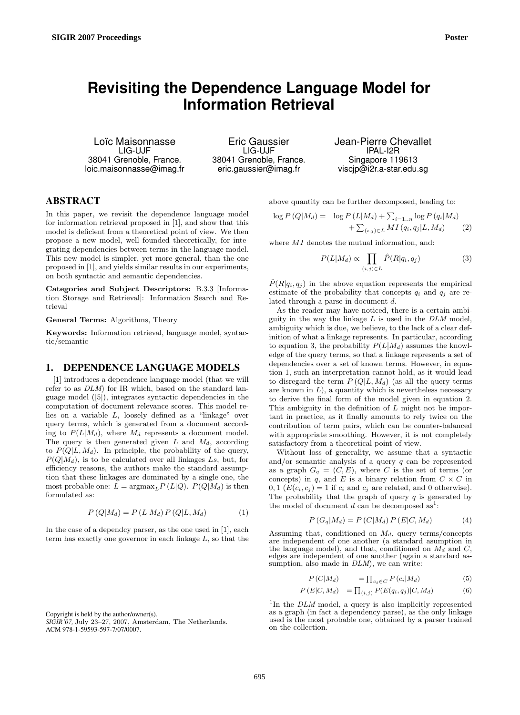# **Revisiting the Dependence Language Model for Information Retrieval**

Loïc Maisonnasse LIG-UJF 38041 Grenoble, France. loic.maisonnasse@imag.fr

Eric Gaussier LIG-UJF 38041 Grenoble, France. eric.gaussier@imag.fr

Jean-Pierre Chevallet IPAL-I2R Singapore 119613 viscjp@i2r.a-star.edu.sg

## ABSTRACT

In this paper, we revisit the dependence language model for information retrieval proposed in [1], and show that this model is deficient from a theoretical point of view. We then propose a new model, well founded theoretically, for integrating dependencies between terms in the language model. This new model is simpler, yet more general, than the one proposed in [1], and yields similar results in our experiments, on both syntactic and semantic dependencies.

Categories and Subject Descriptors: B.3.3 [Information Storage and Retrieval]: Information Search and Retrieval

#### General Terms: Algorithms, Theory

Keywords: Information retrieval, language model, syntactic/semantic

## 1. DEPENDENCE LANGUAGE MODELS

[1] introduces a dependence language model (that we will refer to as DLM) for IR which, based on the standard language model ([5]), integrates syntactic dependencies in the computation of document relevance scores. This model relies on a variable L, loosely defined as a "linkage" over query terms, which is generated from a document according to  $P(L|M_d)$ , where  $M_d$  represents a document model. The query is then generated given  $L$  and  $M_d$ , according to  $P(Q|L, M_d)$ . In principle, the probability of the query,  $P(Q|M_d)$ , is to be calculated over all linkages Ls, but, for efficiency reasons, the authors make the standard assumption that these linkages are dominated by a single one, the most probable one:  $L = \operatorname{argmax}_{L} P(L|Q)$ .  $P(Q|M_d)$  is then formulated as:

$$
P(Q|M_d) = P(L|M_d) P(Q|L, M_d)
$$
\n<sup>(1)</sup>

In the case of a dependcy parser, as the one used in [1], each term has exactly one governor in each linkage  $L$ , so that the

Copyright is held by the author/owner(s).

above quantity can be further decomposed, leading to:

$$
\log P(Q|M_d) = \log P(L|M_d) + \sum_{i=1..n} \log P(q_i|M_d) + \sum_{(i,j)\in L} MI(q_i, q_j|L, M_d)
$$
 (2)

where  $MI$  denotes the mutual information, and:

$$
P(L|M_d) \propto \prod_{(i,j)\in L} \hat{P}(R|q_i, q_j)
$$
 (3)

 $\hat{P}(R|q_i, q_j)$  in the above equation represents the empirical estimate of the probability that concepts  $q_i$  and  $q_j$  are related through a parse in document d.

As the reader may have noticed, there is a certain ambiguity in the way the linkage  $L$  is used in the  $DLM$  model, ambiguity which is due, we believe, to the lack of a clear definition of what a linkage represents. In particular, according to equation 3, the probability  $P(L|M_d)$  assumes the knowledge of the query terms, so that a linkage represents a set of dependencies over a set of known terms. However, in equation 1, such an interpretation cannot hold, as it would lead to disregard the term  $P(Q|L, M_d)$  (as all the query terms are known in  $L$ ), a quantity which is nevertheless necessary to derive the final form of the model given in equation 2. This ambiguity in the definition of  $L$  might not be important in practice, as it finally amounts to rely twice on the contribution of term pairs, which can be counter-balanced with appropriate smoothing. However, it is not completely satisfactory from a theoretical point of view.

Without loss of generality, we assume that a syntactic and/or semantic analysis of a query  $q$  can be represented as a graph  $G_q = (C, E)$ , where C is the set of terms (or concepts) in q, and E is a binary relation from  $C \times C$  in 0, 1  $(E(c_i, c_j) = 1$  if  $c_i$  and  $c_j$  are related, and 0 otherwise). The probability that the graph of query  $q$  is generated by the model of document  $d$  can be decomposed as<sup>1</sup>:

$$
P(G_q|M_d) = P(C|M_d) P(E|C, M_d)
$$
\n<sup>(4)</sup>

Assuming that, conditioned on  $M_d$ , query terms/concepts are independent of one another (a standard asumption in the language model), and that, conditioned on  $M_d$  and C. edges are independent of one another (again a standard assumption, also made in  $DLM$ , we can write:

$$
P(C|M_d) = \prod_{c_i \in C} P(c_i|M_d)
$$
 (5)

$$
P(E|C, M_d) = \prod_{(i,j)} P(E(q_i, q_j)|C, M_d)
$$
 (6)

*SIGIR'07,* July 23–27, 2007, Amsterdam, The Netherlands. ACM 978-1-59593-597-7/07/0007.

<sup>&</sup>lt;sup>1</sup>In the  $DLM$  model, a query is also implicitly represented as a graph (in fact a dependency parse), as the only linkage used is the most probable one, obtained by a parser trained on the collection.